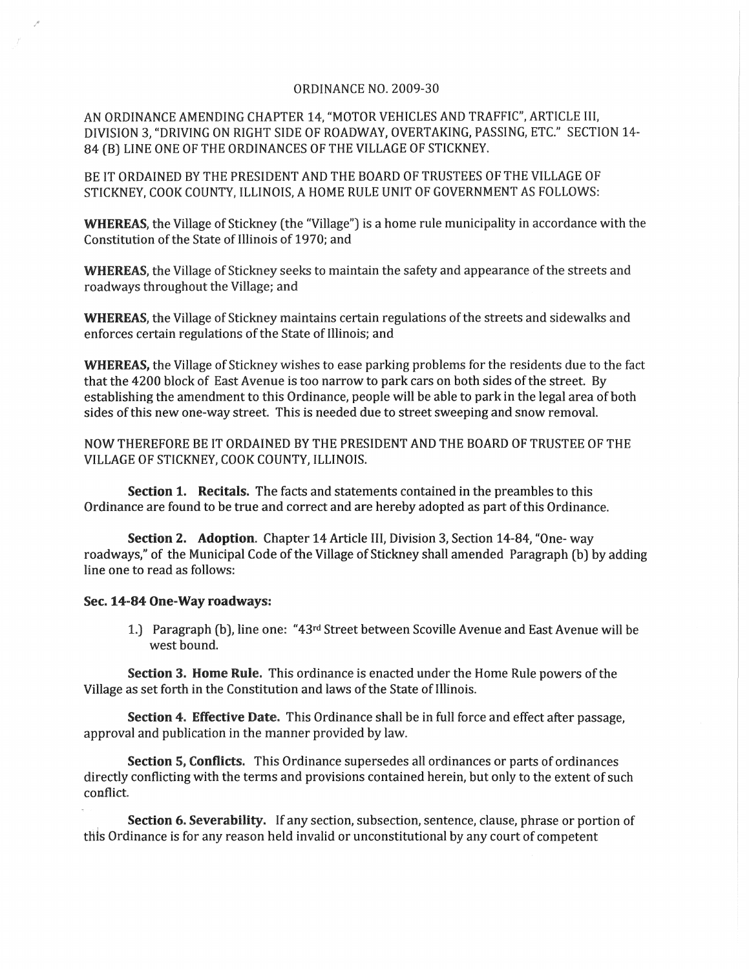## ORDINANCE NO. 2009-30

AN ORDINANCE AMENDING CHAPTER 14, "MOTOR VEHICLES AND TRAFFIC", ARTICLE III, DIVISION 3, "DRIVING ON RIGHT SIDE OF ROADWAY, OVERTAKING, PASSING, ETC." SECTION 14- 84 (B) LINE ONE OF THE ORDINANCES OF THE VILLAGE OF STICKNEY.

BE IT ORDAINED BY THE PRESIDENT AND THE BOARD OF TRUSTEES OF THE VILLAGE OF STICKNEY, COOK COUNTY, ILLINOIS, A HOME RULE UNIT OF GOVERNMENT AS FOLLOWS:

WHEREAS, the Village of Stickney (the "Village") is a home rule municipality in accordance with the Constitution of the State of Illinois of 1970; and

WHEREAS, the Village of Stickney seeks to maintain the safety and appearance of the streets and roadways throughout the Village; and

WHEREAS, the Village of Stickney maintains certain regulations of the streets and sidewalks and enforces certain regulations of the State of Illinois; and

WHEREAS, the Village of Stickney wishes to ease parking problems for the residents due to the fact that the 4200 block of East Avenue is too narrow to park cars on both sides of the street. By establishing the amendment to this Ordinance, people will be able to park in the legal area of both sides of this new one-way street. This is needed due to street sweeping and snow removal.

NOW THEREFORE BE IT ORDAINED BY THE PRESIDENT AND THE BOARD OF TRUSTEE OF THE VILLAGE OF STICKNEY, COOK COUNTY, ILLINOIS.

Section 1. Recitals. The facts and statements contained in the preambles to this Ordinance are found to be true and correct and are hereby adopted as part ofthis Ordinance.

Section 2. Adoption. Chapter 14 Article III, Division 3, Section 14-84, "One- way roadways," of the Municipal Code of the Village of Stickney shall amended Paragraph (b) by adding line one to read as follows:

## Sec. 14-84 One-Way roadways:

1.) Paragraph (b), line one: "43rd Street between Scoville Avenue and East Avenue will be west bound.

Section 3. Home Rule. This ordinance is enacted under the Home Rule powers of the Village as set forth in the Constitution and laws of the State of Illinois.

Section 4. Effective Date. This Ordinance shall be in full force and effect after passage, approval and publication in the manner provided by law.

Section 5, Conflicts. This Ordinance supersedes all ordinances or parts of ordinances directly conflicting with the terms and provisions contained herein, but only to the extent of such conflict.

Section 6. Severability. If any section, subsection, sentence, clause, phrase or portion of this Ordinance is for any reason held invalid or unconstitutional by any court of competent